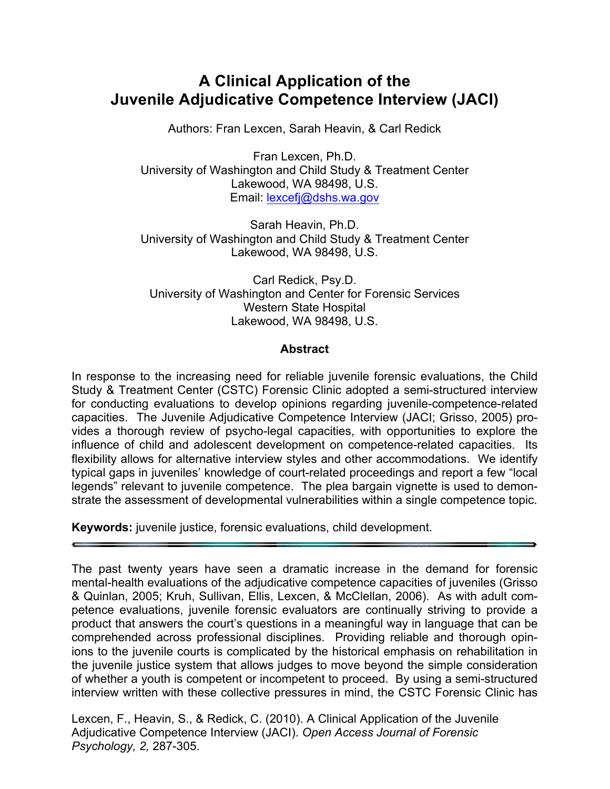# **A Clinical Application of the Juvenile Adjudicative Competence Interview (JACI)**

Authors: Fran Lexcen, Sarah Heavin, & Carl Redick

Fran Lexcen, Ph.D. University of Washington and Child Study & Treatment Center Lakewood, WA 98498, U.S. Email: lexcefj@dshs.wa.gov

Sarah Heavin, Ph.D. University of Washington and Child Study & Treatment Center Lakewood, WA 98498, U.S.

Carl Redick, Psy.D. University of Washington and Center for Forensic Services Western State Hospital Lakewood, WA 98498, U.S.

#### **Abstract**

In response to the increasing need for reliable juvenile forensic evaluations, the Child Study & Treatment Center (CSTC) Forensic Clinic adopted a semi-structured interview for conducting evaluations to develop opinions regarding juvenile-competence-related capacities. The Juvenile Adjudicative Competence Interview (JACI; Grisso, 2005) provides a thorough review of psycho-legal capacities, with opportunities to explore the influence of child and adolescent development on competence-related capacities. Its flexibility allows for alternative interview styles and other accommodations. We identify typical gaps in juveniles' knowledge of court-related proceedings and report a few "local legends" relevant to juvenile competence. The plea bargain vignette is used to demonstrate the assessment of developmental vulnerabilities within a single competence topic.

**Keywords:** juvenile justice, forensic evaluations, child development.

The past twenty years have seen a dramatic increase in the demand for forensic mental-health evaluations of the adjudicative competence capacities of juveniles (Grisso & Quinlan, 2005; Kruh, Sullivan, Ellis, Lexcen, & McClellan, 2006). As with adult competence evaluations, juvenile forensic evaluators are continually striving to provide a product that answers the court's questions in a meaningful way in language that can be comprehended across professional disciplines. Providing reliable and thorough opinions to the juvenile courts is complicated by the historical emphasis on rehabilitation in the juvenile justice system that allows judges to move beyond the simple consideration of whether a youth is competent or incompetent to proceed. By using a semi-structured interview written with these collective pressures in mind, the CSTC Forensic Clinic has

Lexcen, F., Heavin, S., & Redick, C. (2010). A Clinical Application of the Juvenile Adjudicative Competence Interview (JACI). *Open Access Journal of Forensic Psychology, 2,* 287-305.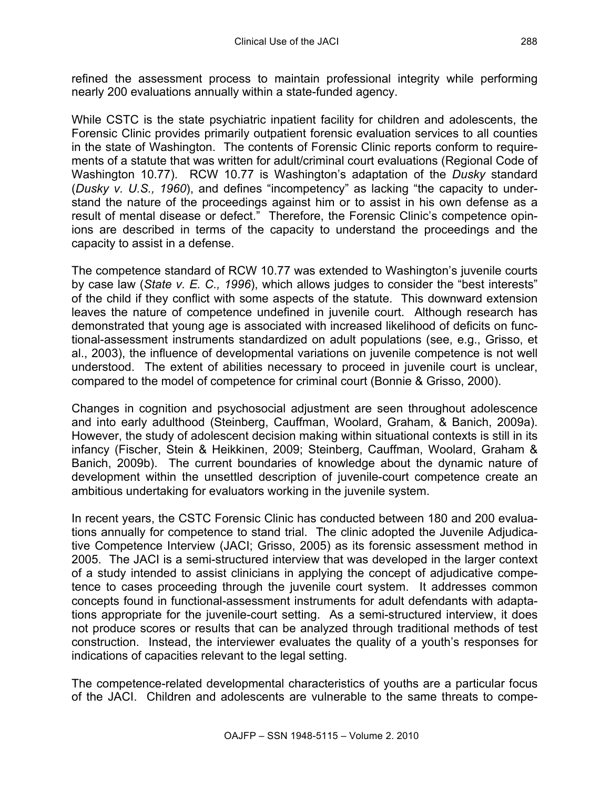refined the assessment process to maintain professional integrity while performing nearly 200 evaluations annually within a state-funded agency.

While CSTC is the state psychiatric inpatient facility for children and adolescents, the Forensic Clinic provides primarily outpatient forensic evaluation services to all counties in the state of Washington. The contents of Forensic Clinic reports conform to requirements of a statute that was written for adult/criminal court evaluations (Regional Code of Washington 10.77). RCW 10.77 is Washington's adaptation of the *Dusky* standard (*Dusky v. U.S., 1960*), and defines "incompetency" as lacking "the capacity to understand the nature of the proceedings against him or to assist in his own defense as a result of mental disease or defect." Therefore, the Forensic Clinic's competence opinions are described in terms of the capacity to understand the proceedings and the capacity to assist in a defense.

The competence standard of RCW 10.77 was extended to Washington's juvenile courts by case law (*State v. E. C., 1996*), which allows judges to consider the "best interests" of the child if they conflict with some aspects of the statute. This downward extension leaves the nature of competence undefined in juvenile court. Although research has demonstrated that young age is associated with increased likelihood of deficits on functional-assessment instruments standardized on adult populations (see, e.g., Grisso, et al., 2003), the influence of developmental variations on juvenile competence is not well understood. The extent of abilities necessary to proceed in juvenile court is unclear, compared to the model of competence for criminal court (Bonnie & Grisso, 2000).

Changes in cognition and psychosocial adjustment are seen throughout adolescence and into early adulthood (Steinberg, Cauffman, Woolard, Graham, & Banich, 2009a). However, the study of adolescent decision making within situational contexts is still in its infancy (Fischer, Stein & Heikkinen, 2009; Steinberg, Cauffman, Woolard, Graham & Banich, 2009b). The current boundaries of knowledge about the dynamic nature of development within the unsettled description of juvenile-court competence create an ambitious undertaking for evaluators working in the juvenile system.

In recent years, the CSTC Forensic Clinic has conducted between 180 and 200 evaluations annually for competence to stand trial. The clinic adopted the Juvenile Adjudicative Competence Interview (JACI; Grisso, 2005) as its forensic assessment method in 2005. The JACI is a semi-structured interview that was developed in the larger context of a study intended to assist clinicians in applying the concept of adjudicative competence to cases proceeding through the juvenile court system. It addresses common concepts found in functional-assessment instruments for adult defendants with adaptations appropriate for the juvenile-court setting. As a semi-structured interview, it does not produce scores or results that can be analyzed through traditional methods of test construction. Instead, the interviewer evaluates the quality of a youth's responses for indications of capacities relevant to the legal setting.

The competence-related developmental characteristics of youths are a particular focus of the JACI. Children and adolescents are vulnerable to the same threats to compe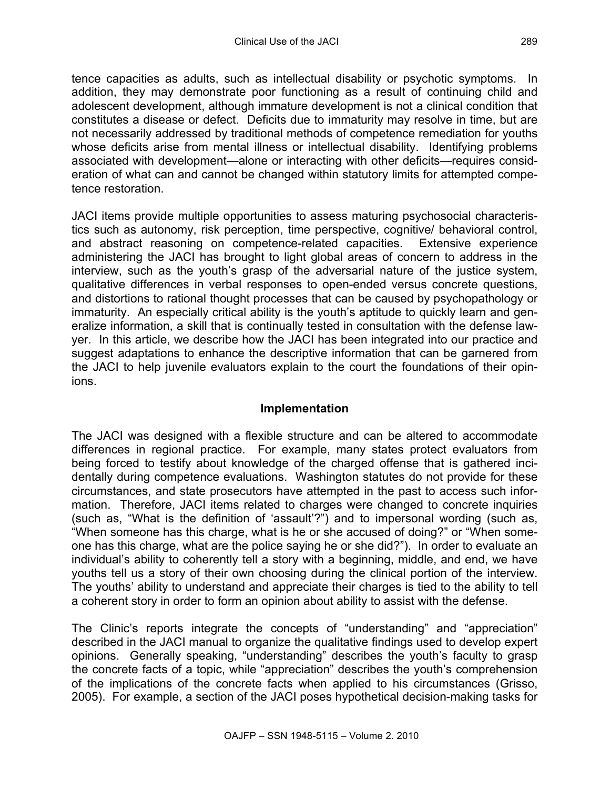tence capacities as adults, such as intellectual disability or psychotic symptoms. In addition, they may demonstrate poor functioning as a result of continuing child and adolescent development, although immature development is not a clinical condition that constitutes a disease or defect. Deficits due to immaturity may resolve in time, but are not necessarily addressed by traditional methods of competence remediation for youths whose deficits arise from mental illness or intellectual disability. Identifying problems associated with development—alone or interacting with other deficits—requires consideration of what can and cannot be changed within statutory limits for attempted competence restoration.

JACI items provide multiple opportunities to assess maturing psychosocial characteristics such as autonomy, risk perception, time perspective, cognitive/ behavioral control, and abstract reasoning on competence-related capacities. Extensive experience administering the JACI has brought to light global areas of concern to address in the interview, such as the youth's grasp of the adversarial nature of the justice system, qualitative differences in verbal responses to open-ended versus concrete questions, and distortions to rational thought processes that can be caused by psychopathology or immaturity. An especially critical ability is the youth's aptitude to quickly learn and generalize information, a skill that is continually tested in consultation with the defense lawyer. In this article, we describe how the JACI has been integrated into our practice and suggest adaptations to enhance the descriptive information that can be garnered from the JACI to help juvenile evaluators explain to the court the foundations of their opinions.

#### **Implementation**

The JACI was designed with a flexible structure and can be altered to accommodate differences in regional practice. For example, many states protect evaluators from being forced to testify about knowledge of the charged offense that is gathered incidentally during competence evaluations. Washington statutes do not provide for these circumstances, and state prosecutors have attempted in the past to access such information. Therefore, JACI items related to charges were changed to concrete inquiries (such as, "What is the definition of 'assault'?") and to impersonal wording (such as, "When someone has this charge, what is he or she accused of doing?" or "When someone has this charge, what are the police saying he or she did?"). In order to evaluate an individual's ability to coherently tell a story with a beginning, middle, and end, we have youths tell us a story of their own choosing during the clinical portion of the interview. The youths' ability to understand and appreciate their charges is tied to the ability to tell a coherent story in order to form an opinion about ability to assist with the defense.

The Clinic's reports integrate the concepts of "understanding" and "appreciation" described in the JACI manual to organize the qualitative findings used to develop expert opinions. Generally speaking, "understanding" describes the youth's faculty to grasp the concrete facts of a topic, while "appreciation" describes the youth's comprehension of the implications of the concrete facts when applied to his circumstances (Grisso, 2005). For example, a section of the JACI poses hypothetical decision-making tasks for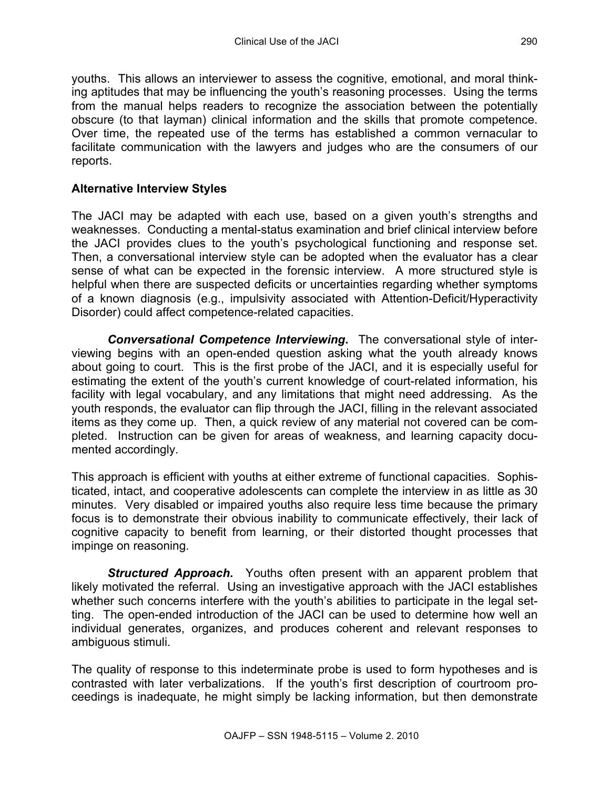youths. This allows an interviewer to assess the cognitive, emotional, and moral thinking aptitudes that may be influencing the youth's reasoning processes. Using the terms from the manual helps readers to recognize the association between the potentially obscure (to that layman) clinical information and the skills that promote competence. Over time, the repeated use of the terms has established a common vernacular to facilitate communication with the lawyers and judges who are the consumers of our reports.

# **Alternative Interview Styles**

The JACI may be adapted with each use, based on a given youth's strengths and weaknesses. Conducting a mental-status examination and brief clinical interview before the JACI provides clues to the youth's psychological functioning and response set. Then, a conversational interview style can be adopted when the evaluator has a clear sense of what can be expected in the forensic interview. A more structured style is helpful when there are suspected deficits or uncertainties regarding whether symptoms of a known diagnosis (e.g., impulsivity associated with Attention-Deficit/Hyperactivity Disorder) could affect competence-related capacities.

*Conversational Competence Interviewing***.**The conversational style of interviewing begins with an open-ended question asking what the youth already knows about going to court. This is the first probe of the JACI, and it is especially useful for estimating the extent of the youth's current knowledge of court-related information, his facility with legal vocabulary, and any limitations that might need addressing. As the youth responds, the evaluator can flip through the JACI, filling in the relevant associated items as they come up. Then, a quick review of any material not covered can be completed. Instruction can be given for areas of weakness, and learning capacity documented accordingly.

This approach is efficient with youths at either extreme of functional capacities. Sophisticated, intact, and cooperative adolescents can complete the interview in as little as 30 minutes. Very disabled or impaired youths also require less time because the primary focus is to demonstrate their obvious inability to communicate effectively, their lack of cognitive capacity to benefit from learning, or their distorted thought processes that impinge on reasoning.

*Structured Approach***.**Youths often present with an apparent problem that likely motivated the referral. Using an investigative approach with the JACI establishes whether such concerns interfere with the youth's abilities to participate in the legal setting. The open-ended introduction of the JACI can be used to determine how well an individual generates, organizes, and produces coherent and relevant responses to ambiguous stimuli.

The quality of response to this indeterminate probe is used to form hypotheses and is contrasted with later verbalizations. If the youth's first description of courtroom proceedings is inadequate, he might simply be lacking information, but then demonstrate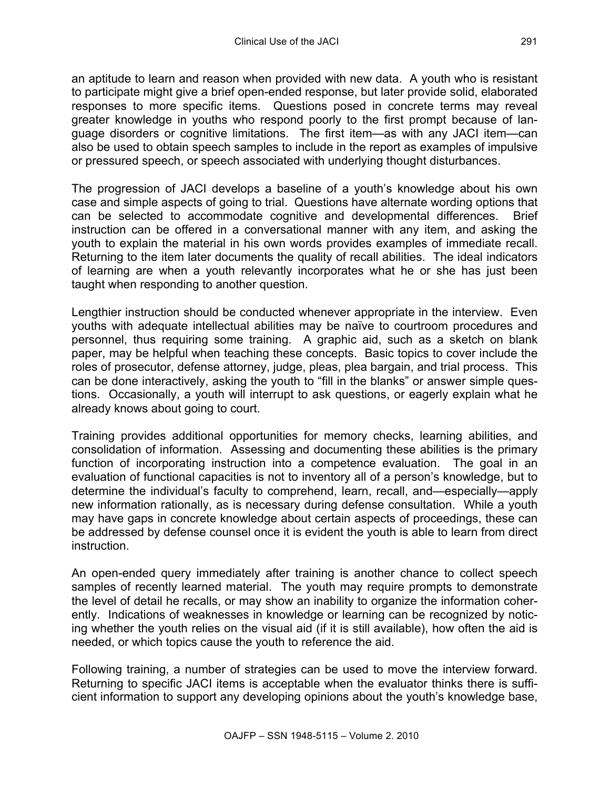an aptitude to learn and reason when provided with new data. A youth who is resistant to participate might give a brief open-ended response, but later provide solid, elaborated responses to more specific items. Questions posed in concrete terms may reveal greater knowledge in youths who respond poorly to the first prompt because of language disorders or cognitive limitations. The first item—as with any JACI item—can also be used to obtain speech samples to include in the report as examples of impulsive or pressured speech, or speech associated with underlying thought disturbances.

The progression of JACI develops a baseline of a youth's knowledge about his own case and simple aspects of going to trial. Questions have alternate wording options that can be selected to accommodate cognitive and developmental differences. Brief instruction can be offered in a conversational manner with any item, and asking the youth to explain the material in his own words provides examples of immediate recall. Returning to the item later documents the quality of recall abilities. The ideal indicators of learning are when a youth relevantly incorporates what he or she has just been taught when responding to another question.

Lengthier instruction should be conducted whenever appropriate in the interview. Even youths with adequate intellectual abilities may be naïve to courtroom procedures and personnel, thus requiring some training. A graphic aid, such as a sketch on blank paper, may be helpful when teaching these concepts. Basic topics to cover include the roles of prosecutor, defense attorney, judge, pleas, plea bargain, and trial process. This can be done interactively, asking the youth to "fill in the blanks" or answer simple questions. Occasionally, a youth will interrupt to ask questions, or eagerly explain what he already knows about going to court.

Training provides additional opportunities for memory checks, learning abilities, and consolidation of information. Assessing and documenting these abilities is the primary function of incorporating instruction into a competence evaluation. The goal in an evaluation of functional capacities is not to inventory all of a person's knowledge, but to determine the individual's faculty to comprehend, learn, recall, and—especially—apply new information rationally, as is necessary during defense consultation. While a youth may have gaps in concrete knowledge about certain aspects of proceedings, these can be addressed by defense counsel once it is evident the youth is able to learn from direct instruction.

An open-ended query immediately after training is another chance to collect speech samples of recently learned material. The youth may require prompts to demonstrate the level of detail he recalls, or may show an inability to organize the information coherently. Indications of weaknesses in knowledge or learning can be recognized by noticing whether the youth relies on the visual aid (if it is still available), how often the aid is needed, or which topics cause the youth to reference the aid.

Following training, a number of strategies can be used to move the interview forward. Returning to specific JACI items is acceptable when the evaluator thinks there is sufficient information to support any developing opinions about the youth's knowledge base,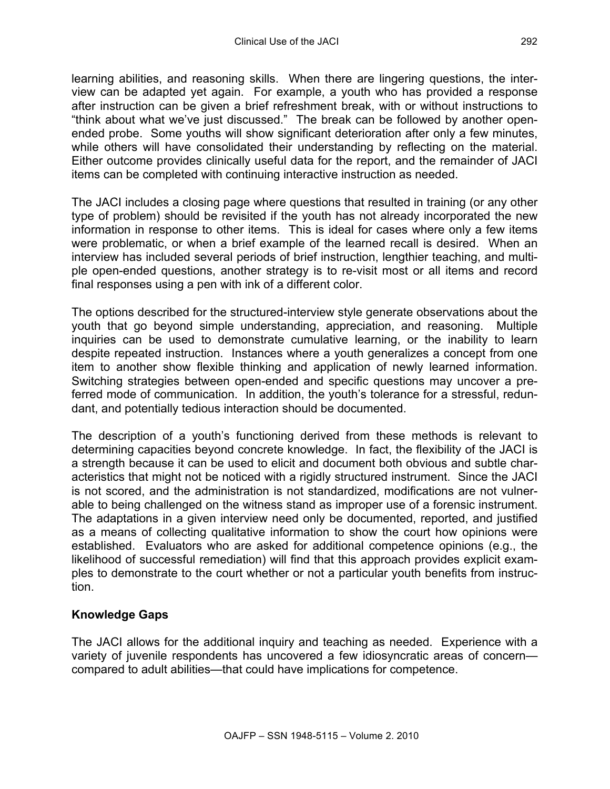learning abilities, and reasoning skills. When there are lingering questions, the interview can be adapted yet again. For example, a youth who has provided a response after instruction can be given a brief refreshment break, with or without instructions to "think about what we've just discussed." The break can be followed by another openended probe. Some youths will show significant deterioration after only a few minutes, while others will have consolidated their understanding by reflecting on the material. Either outcome provides clinically useful data for the report, and the remainder of JACI items can be completed with continuing interactive instruction as needed.

The JACI includes a closing page where questions that resulted in training (or any other type of problem) should be revisited if the youth has not already incorporated the new information in response to other items. This is ideal for cases where only a few items were problematic, or when a brief example of the learned recall is desired. When an interview has included several periods of brief instruction, lengthier teaching, and multiple open-ended questions, another strategy is to re-visit most or all items and record final responses using a pen with ink of a different color.

The options described for the structured-interview style generate observations about the youth that go beyond simple understanding, appreciation, and reasoning. Multiple inquiries can be used to demonstrate cumulative learning, or the inability to learn despite repeated instruction. Instances where a youth generalizes a concept from one item to another show flexible thinking and application of newly learned information. Switching strategies between open-ended and specific questions may uncover a preferred mode of communication. In addition, the youth's tolerance for a stressful, redundant, and potentially tedious interaction should be documented.

The description of a youth's functioning derived from these methods is relevant to determining capacities beyond concrete knowledge. In fact, the flexibility of the JACI is a strength because it can be used to elicit and document both obvious and subtle characteristics that might not be noticed with a rigidly structured instrument. Since the JACI is not scored, and the administration is not standardized, modifications are not vulnerable to being challenged on the witness stand as improper use of a forensic instrument. The adaptations in a given interview need only be documented, reported, and justified as a means of collecting qualitative information to show the court how opinions were established. Evaluators who are asked for additional competence opinions (e.g., the likelihood of successful remediation) will find that this approach provides explicit examples to demonstrate to the court whether or not a particular youth benefits from instruction.

## **Knowledge Gaps**

The JACI allows for the additional inquiry and teaching as needed. Experience with a variety of juvenile respondents has uncovered a few idiosyncratic areas of concern compared to adult abilities—that could have implications for competence.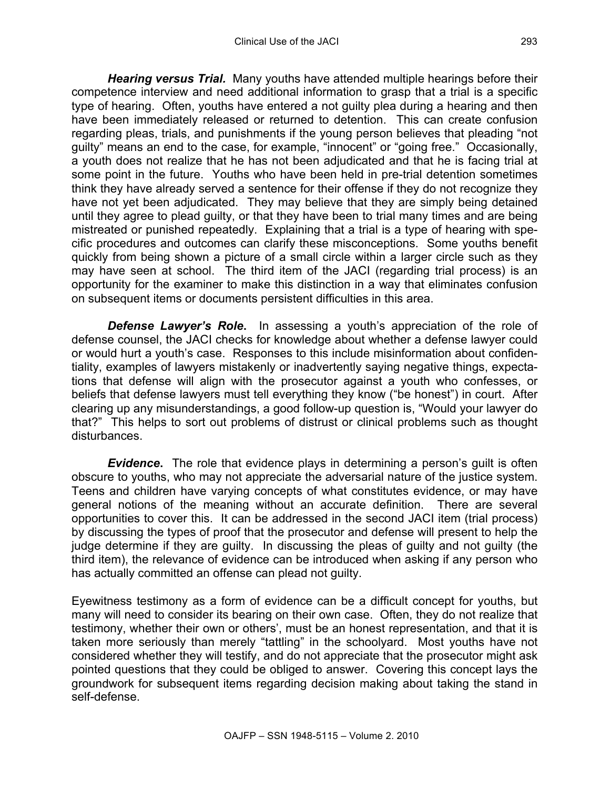*Hearing versus Trial.* Many youths have attended multiple hearings before their competence interview and need additional information to grasp that a trial is a specific type of hearing. Often, youths have entered a not guilty plea during a hearing and then have been immediately released or returned to detention. This can create confusion regarding pleas, trials, and punishments if the young person believes that pleading "not guilty" means an end to the case, for example, "innocent" or "going free." Occasionally, a youth does not realize that he has not been adjudicated and that he is facing trial at some point in the future. Youths who have been held in pre-trial detention sometimes think they have already served a sentence for their offense if they do not recognize they have not yet been adjudicated. They may believe that they are simply being detained until they agree to plead guilty, or that they have been to trial many times and are being mistreated or punished repeatedly. Explaining that a trial is a type of hearing with specific procedures and outcomes can clarify these misconceptions. Some youths benefit quickly from being shown a picture of a small circle within a larger circle such as they may have seen at school. The third item of the JACI (regarding trial process) is an opportunity for the examiner to make this distinction in a way that eliminates confusion on subsequent items or documents persistent difficulties in this area.

**Defense Lawyer's Role.** In assessing a youth's appreciation of the role of defense counsel, the JACI checks for knowledge about whether a defense lawyer could or would hurt a youth's case. Responses to this include misinformation about confidentiality, examples of lawyers mistakenly or inadvertently saying negative things, expectations that defense will align with the prosecutor against a youth who confesses, or beliefs that defense lawyers must tell everything they know ("be honest") in court. After clearing up any misunderstandings, a good follow-up question is, "Would your lawyer do that?" This helps to sort out problems of distrust or clinical problems such as thought disturbances.

*Evidence***.**The role that evidence plays in determining a person's guilt is often obscure to youths, who may not appreciate the adversarial nature of the justice system. Teens and children have varying concepts of what constitutes evidence, or may have general notions of the meaning without an accurate definition. There are several opportunities to cover this. It can be addressed in the second JACI item (trial process) by discussing the types of proof that the prosecutor and defense will present to help the judge determine if they are guilty. In discussing the pleas of guilty and not guilty (the third item), the relevance of evidence can be introduced when asking if any person who has actually committed an offense can plead not guilty.

Eyewitness testimony as a form of evidence can be a difficult concept for youths, but many will need to consider its bearing on their own case. Often, they do not realize that testimony, whether their own or others', must be an honest representation, and that it is taken more seriously than merely "tattling" in the schoolyard. Most youths have not considered whether they will testify, and do not appreciate that the prosecutor might ask pointed questions that they could be obliged to answer. Covering this concept lays the groundwork for subsequent items regarding decision making about taking the stand in self-defense.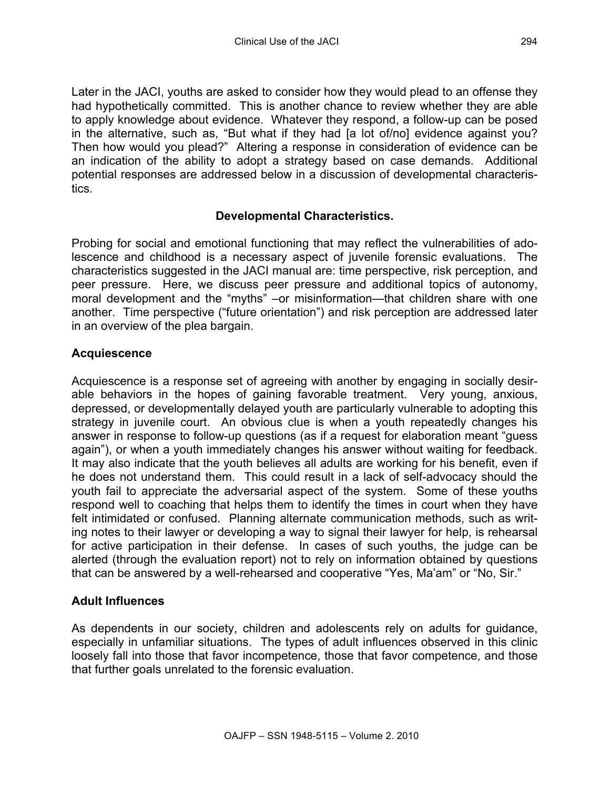Later in the JACI, youths are asked to consider how they would plead to an offense they had hypothetically committed. This is another chance to review whether they are able to apply knowledge about evidence. Whatever they respond, a follow-up can be posed in the alternative, such as, "But what if they had [a lot of/no] evidence against you? Then how would you plead?" Altering a response in consideration of evidence can be an indication of the ability to adopt a strategy based on case demands. Additional potential responses are addressed below in a discussion of developmental characteristics.

## **Developmental Characteristics.**

Probing for social and emotional functioning that may reflect the vulnerabilities of adolescence and childhood is a necessary aspect of juvenile forensic evaluations. The characteristics suggested in the JACI manual are: time perspective, risk perception, and peer pressure. Here, we discuss peer pressure and additional topics of autonomy, moral development and the "myths" –or misinformation—that children share with one another. Time perspective ("future orientation") and risk perception are addressed later in an overview of the plea bargain.

## **Acquiescence**

Acquiescence is a response set of agreeing with another by engaging in socially desirable behaviors in the hopes of gaining favorable treatment. Very young, anxious, depressed, or developmentally delayed youth are particularly vulnerable to adopting this strategy in juvenile court. An obvious clue is when a youth repeatedly changes his answer in response to follow-up questions (as if a request for elaboration meant "guess again"), or when a youth immediately changes his answer without waiting for feedback. It may also indicate that the youth believes all adults are working for his benefit, even if he does not understand them. This could result in a lack of self-advocacy should the youth fail to appreciate the adversarial aspect of the system. Some of these youths respond well to coaching that helps them to identify the times in court when they have felt intimidated or confused. Planning alternate communication methods, such as writing notes to their lawyer or developing a way to signal their lawyer for help, is rehearsal for active participation in their defense. In cases of such youths, the judge can be alerted (through the evaluation report) not to rely on information obtained by questions that can be answered by a well-rehearsed and cooperative "Yes, Ma'am" or "No, Sir."

#### **Adult Influences**

As dependents in our society, children and adolescents rely on adults for guidance, especially in unfamiliar situations. The types of adult influences observed in this clinic loosely fall into those that favor incompetence, those that favor competence, and those that further goals unrelated to the forensic evaluation.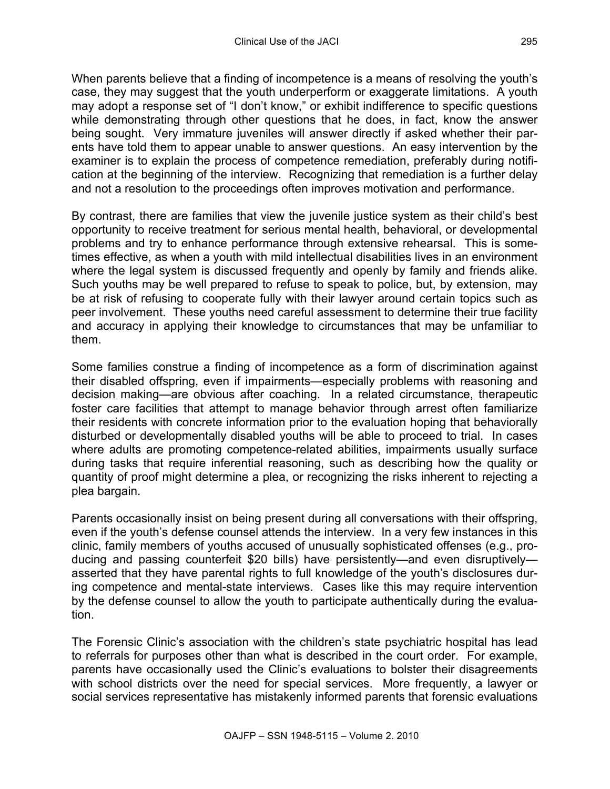When parents believe that a finding of incompetence is a means of resolving the youth's case, they may suggest that the youth underperform or exaggerate limitations. A youth may adopt a response set of "I don't know," or exhibit indifference to specific questions while demonstrating through other questions that he does, in fact, know the answer being sought. Very immature juveniles will answer directly if asked whether their parents have told them to appear unable to answer questions. An easy intervention by the examiner is to explain the process of competence remediation, preferably during notification at the beginning of the interview. Recognizing that remediation is a further delay and not a resolution to the proceedings often improves motivation and performance.

By contrast, there are families that view the juvenile justice system as their child's best opportunity to receive treatment for serious mental health, behavioral, or developmental problems and try to enhance performance through extensive rehearsal. This is sometimes effective, as when a youth with mild intellectual disabilities lives in an environment where the legal system is discussed frequently and openly by family and friends alike. Such youths may be well prepared to refuse to speak to police, but, by extension, may be at risk of refusing to cooperate fully with their lawyer around certain topics such as peer involvement. These youths need careful assessment to determine their true facility and accuracy in applying their knowledge to circumstances that may be unfamiliar to them.

Some families construe a finding of incompetence as a form of discrimination against their disabled offspring, even if impairments—especially problems with reasoning and decision making—are obvious after coaching. In a related circumstance, therapeutic foster care facilities that attempt to manage behavior through arrest often familiarize their residents with concrete information prior to the evaluation hoping that behaviorally disturbed or developmentally disabled youths will be able to proceed to trial. In cases where adults are promoting competence-related abilities, impairments usually surface during tasks that require inferential reasoning, such as describing how the quality or quantity of proof might determine a plea, or recognizing the risks inherent to rejecting a plea bargain.

Parents occasionally insist on being present during all conversations with their offspring, even if the youth's defense counsel attends the interview. In a very few instances in this clinic, family members of youths accused of unusually sophisticated offenses (e.g., producing and passing counterfeit \$20 bills) have persistently—and even disruptively asserted that they have parental rights to full knowledge of the youth's disclosures during competence and mental-state interviews. Cases like this may require intervention by the defense counsel to allow the youth to participate authentically during the evaluation.

The Forensic Clinic's association with the children's state psychiatric hospital has lead to referrals for purposes other than what is described in the court order. For example, parents have occasionally used the Clinic's evaluations to bolster their disagreements with school districts over the need for special services. More frequently, a lawyer or social services representative has mistakenly informed parents that forensic evaluations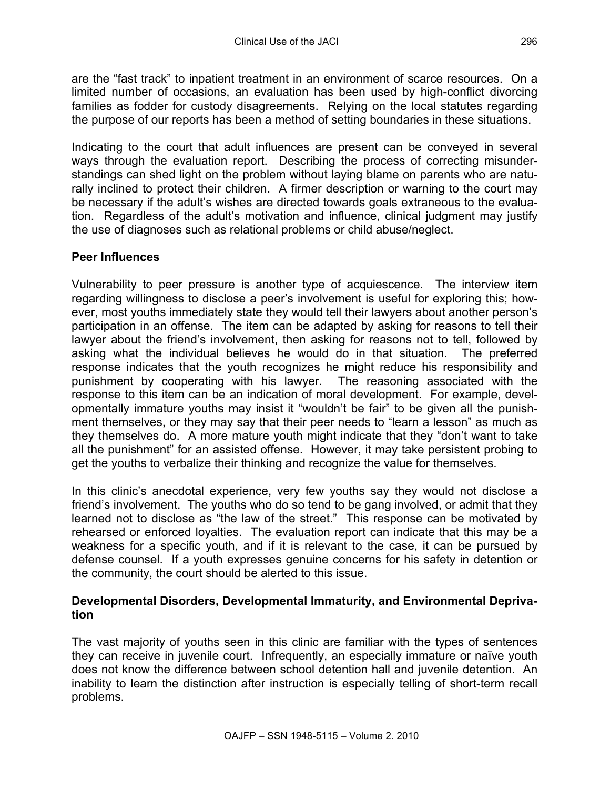are the "fast track" to inpatient treatment in an environment of scarce resources. On a limited number of occasions, an evaluation has been used by high-conflict divorcing families as fodder for custody disagreements. Relying on the local statutes regarding the purpose of our reports has been a method of setting boundaries in these situations.

Indicating to the court that adult influences are present can be conveyed in several ways through the evaluation report. Describing the process of correcting misunderstandings can shed light on the problem without laying blame on parents who are naturally inclined to protect their children. A firmer description or warning to the court may be necessary if the adult's wishes are directed towards goals extraneous to the evaluation. Regardless of the adult's motivation and influence, clinical judgment may justify the use of diagnoses such as relational problems or child abuse/neglect.

## **Peer Influences**

Vulnerability to peer pressure is another type of acquiescence. The interview item regarding willingness to disclose a peer's involvement is useful for exploring this; however, most youths immediately state they would tell their lawyers about another person's participation in an offense. The item can be adapted by asking for reasons to tell their lawyer about the friend's involvement, then asking for reasons not to tell, followed by asking what the individual believes he would do in that situation. The preferred response indicates that the youth recognizes he might reduce his responsibility and punishment by cooperating with his lawyer. The reasoning associated with the response to this item can be an indication of moral development. For example, developmentally immature youths may insist it "wouldn't be fair" to be given all the punishment themselves, or they may say that their peer needs to "learn a lesson" as much as they themselves do. A more mature youth might indicate that they "don't want to take all the punishment" for an assisted offense. However, it may take persistent probing to get the youths to verbalize their thinking and recognize the value for themselves.

In this clinic's anecdotal experience, very few youths say they would not disclose a friend's involvement. The youths who do so tend to be gang involved, or admit that they learned not to disclose as "the law of the street." This response can be motivated by rehearsed or enforced loyalties. The evaluation report can indicate that this may be a weakness for a specific youth, and if it is relevant to the case, it can be pursued by defense counsel. If a youth expresses genuine concerns for his safety in detention or the community, the court should be alerted to this issue.

## **Developmental Disorders, Developmental Immaturity, and Environmental Deprivation**

The vast majority of youths seen in this clinic are familiar with the types of sentences they can receive in juvenile court. Infrequently, an especially immature or naïve youth does not know the difference between school detention hall and juvenile detention. An inability to learn the distinction after instruction is especially telling of short-term recall problems.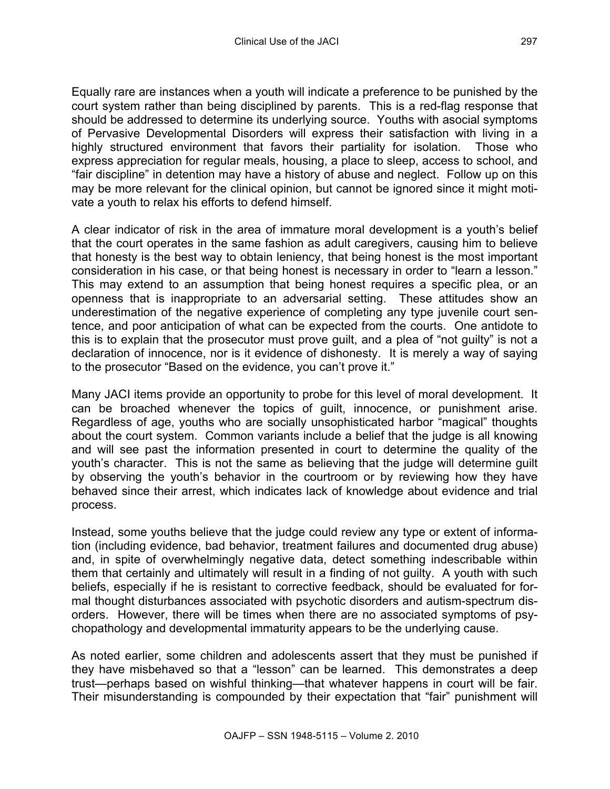Equally rare are instances when a youth will indicate a preference to be punished by the court system rather than being disciplined by parents. This is a red-flag response that should be addressed to determine its underlying source. Youths with asocial symptoms of Pervasive Developmental Disorders will express their satisfaction with living in a highly structured environment that favors their partiality for isolation. Those who express appreciation for regular meals, housing, a place to sleep, access to school, and "fair discipline" in detention may have a history of abuse and neglect. Follow up on this may be more relevant for the clinical opinion, but cannot be ignored since it might motivate a youth to relax his efforts to defend himself.

A clear indicator of risk in the area of immature moral development is a youth's belief that the court operates in the same fashion as adult caregivers, causing him to believe that honesty is the best way to obtain leniency, that being honest is the most important consideration in his case, or that being honest is necessary in order to "learn a lesson." This may extend to an assumption that being honest requires a specific plea, or an openness that is inappropriate to an adversarial setting. These attitudes show an underestimation of the negative experience of completing any type juvenile court sentence, and poor anticipation of what can be expected from the courts. One antidote to this is to explain that the prosecutor must prove guilt, and a plea of "not guilty" is not a declaration of innocence, nor is it evidence of dishonesty. It is merely a way of saying to the prosecutor "Based on the evidence, you can't prove it."

Many JACI items provide an opportunity to probe for this level of moral development. It can be broached whenever the topics of guilt, innocence, or punishment arise. Regardless of age, youths who are socially unsophisticated harbor "magical" thoughts about the court system. Common variants include a belief that the judge is all knowing and will see past the information presented in court to determine the quality of the youth's character. This is not the same as believing that the judge will determine guilt by observing the youth's behavior in the courtroom or by reviewing how they have behaved since their arrest, which indicates lack of knowledge about evidence and trial process.

Instead, some youths believe that the judge could review any type or extent of information (including evidence, bad behavior, treatment failures and documented drug abuse) and, in spite of overwhelmingly negative data, detect something indescribable within them that certainly and ultimately will result in a finding of not guilty. A youth with such beliefs, especially if he is resistant to corrective feedback, should be evaluated for formal thought disturbances associated with psychotic disorders and autism-spectrum disorders. However, there will be times when there are no associated symptoms of psychopathology and developmental immaturity appears to be the underlying cause.

As noted earlier, some children and adolescents assert that they must be punished if they have misbehaved so that a "lesson" can be learned. This demonstrates a deep trust—perhaps based on wishful thinking—that whatever happens in court will be fair. Their misunderstanding is compounded by their expectation that "fair" punishment will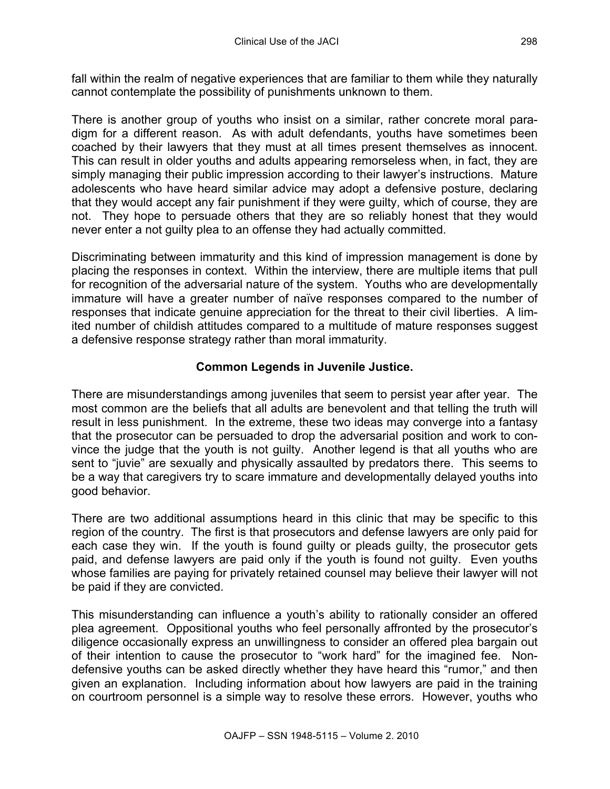fall within the realm of negative experiences that are familiar to them while they naturally cannot contemplate the possibility of punishments unknown to them.

There is another group of youths who insist on a similar, rather concrete moral paradigm for a different reason. As with adult defendants, youths have sometimes been coached by their lawyers that they must at all times present themselves as innocent. This can result in older youths and adults appearing remorseless when, in fact, they are simply managing their public impression according to their lawyer's instructions. Mature adolescents who have heard similar advice may adopt a defensive posture, declaring that they would accept any fair punishment if they were guilty, which of course, they are not. They hope to persuade others that they are so reliably honest that they would never enter a not guilty plea to an offense they had actually committed.

Discriminating between immaturity and this kind of impression management is done by placing the responses in context. Within the interview, there are multiple items that pull for recognition of the adversarial nature of the system. Youths who are developmentally immature will have a greater number of naïve responses compared to the number of responses that indicate genuine appreciation for the threat to their civil liberties. A limited number of childish attitudes compared to a multitude of mature responses suggest a defensive response strategy rather than moral immaturity.

# **Common Legends in Juvenile Justice.**

There are misunderstandings among juveniles that seem to persist year after year. The most common are the beliefs that all adults are benevolent and that telling the truth will result in less punishment. In the extreme, these two ideas may converge into a fantasy that the prosecutor can be persuaded to drop the adversarial position and work to convince the judge that the youth is not guilty. Another legend is that all youths who are sent to "juvie" are sexually and physically assaulted by predators there. This seems to be a way that caregivers try to scare immature and developmentally delayed youths into good behavior.

There are two additional assumptions heard in this clinic that may be specific to this region of the country. The first is that prosecutors and defense lawyers are only paid for each case they win. If the youth is found guilty or pleads guilty, the prosecutor gets paid, and defense lawyers are paid only if the youth is found not guilty. Even youths whose families are paying for privately retained counsel may believe their lawyer will not be paid if they are convicted.

This misunderstanding can influence a youth's ability to rationally consider an offered plea agreement. Oppositional youths who feel personally affronted by the prosecutor's diligence occasionally express an unwillingness to consider an offered plea bargain out of their intention to cause the prosecutor to "work hard" for the imagined fee. Nondefensive youths can be asked directly whether they have heard this "rumor," and then given an explanation. Including information about how lawyers are paid in the training on courtroom personnel is a simple way to resolve these errors. However, youths who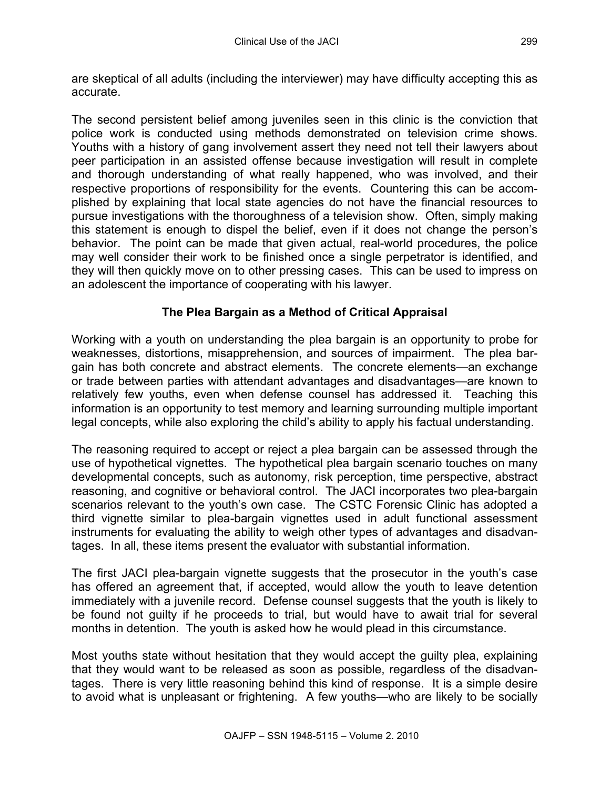are skeptical of all adults (including the interviewer) may have difficulty accepting this as accurate.

The second persistent belief among juveniles seen in this clinic is the conviction that police work is conducted using methods demonstrated on television crime shows. Youths with a history of gang involvement assert they need not tell their lawyers about peer participation in an assisted offense because investigation will result in complete and thorough understanding of what really happened, who was involved, and their respective proportions of responsibility for the events. Countering this can be accomplished by explaining that local state agencies do not have the financial resources to pursue investigations with the thoroughness of a television show. Often, simply making this statement is enough to dispel the belief, even if it does not change the person's behavior. The point can be made that given actual, real-world procedures, the police may well consider their work to be finished once a single perpetrator is identified, and they will then quickly move on to other pressing cases. This can be used to impress on an adolescent the importance of cooperating with his lawyer.

# **The Plea Bargain as a Method of Critical Appraisal**

Working with a youth on understanding the plea bargain is an opportunity to probe for weaknesses, distortions, misapprehension, and sources of impairment. The plea bargain has both concrete and abstract elements. The concrete elements—an exchange or trade between parties with attendant advantages and disadvantages—are known to relatively few youths, even when defense counsel has addressed it. Teaching this information is an opportunity to test memory and learning surrounding multiple important legal concepts, while also exploring the child's ability to apply his factual understanding.

The reasoning required to accept or reject a plea bargain can be assessed through the use of hypothetical vignettes. The hypothetical plea bargain scenario touches on many developmental concepts, such as autonomy, risk perception, time perspective, abstract reasoning, and cognitive or behavioral control. The JACI incorporates two plea-bargain scenarios relevant to the youth's own case. The CSTC Forensic Clinic has adopted a third vignette similar to plea-bargain vignettes used in adult functional assessment instruments for evaluating the ability to weigh other types of advantages and disadvantages. In all, these items present the evaluator with substantial information.

The first JACI plea-bargain vignette suggests that the prosecutor in the youth's case has offered an agreement that, if accepted, would allow the youth to leave detention immediately with a juvenile record. Defense counsel suggests that the youth is likely to be found not guilty if he proceeds to trial, but would have to await trial for several months in detention. The youth is asked how he would plead in this circumstance.

Most youths state without hesitation that they would accept the guilty plea, explaining that they would want to be released as soon as possible, regardless of the disadvantages. There is very little reasoning behind this kind of response. It is a simple desire to avoid what is unpleasant or frightening. A few youths—who are likely to be socially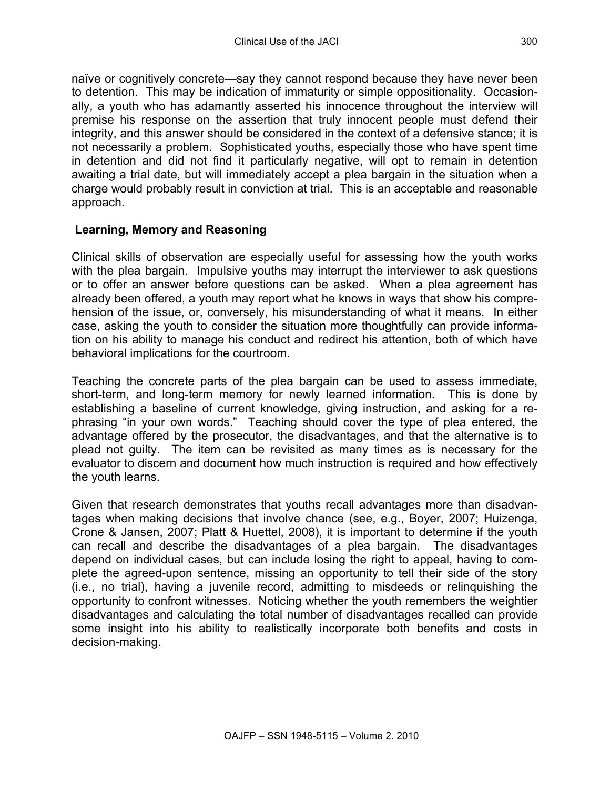naïve or cognitively concrete—say they cannot respond because they have never been to detention. This may be indication of immaturity or simple oppositionality. Occasionally, a youth who has adamantly asserted his innocence throughout the interview will premise his response on the assertion that truly innocent people must defend their integrity, and this answer should be considered in the context of a defensive stance; it is not necessarily a problem. Sophisticated youths, especially those who have spent time in detention and did not find it particularly negative, will opt to remain in detention awaiting a trial date, but will immediately accept a plea bargain in the situation when a charge would probably result in conviction at trial. This is an acceptable and reasonable approach.

## **Learning, Memory and Reasoning**

Clinical skills of observation are especially useful for assessing how the youth works with the plea bargain. Impulsive youths may interrupt the interviewer to ask questions or to offer an answer before questions can be asked. When a plea agreement has already been offered, a youth may report what he knows in ways that show his comprehension of the issue, or, conversely, his misunderstanding of what it means. In either case, asking the youth to consider the situation more thoughtfully can provide information on his ability to manage his conduct and redirect his attention, both of which have behavioral implications for the courtroom.

Teaching the concrete parts of the plea bargain can be used to assess immediate, short-term, and long-term memory for newly learned information. This is done by establishing a baseline of current knowledge, giving instruction, and asking for a rephrasing "in your own words." Teaching should cover the type of plea entered, the advantage offered by the prosecutor, the disadvantages, and that the alternative is to plead not guilty. The item can be revisited as many times as is necessary for the evaluator to discern and document how much instruction is required and how effectively the youth learns.

Given that research demonstrates that youths recall advantages more than disadvantages when making decisions that involve chance (see, e.g., Boyer, 2007; Huizenga, Crone & Jansen, 2007; Platt & Huettel, 2008), it is important to determine if the youth can recall and describe the disadvantages of a plea bargain. The disadvantages depend on individual cases, but can include losing the right to appeal, having to complete the agreed-upon sentence, missing an opportunity to tell their side of the story (i.e., no trial), having a juvenile record, admitting to misdeeds or relinquishing the opportunity to confront witnesses. Noticing whether the youth remembers the weightier disadvantages and calculating the total number of disadvantages recalled can provide some insight into his ability to realistically incorporate both benefits and costs in decision-making.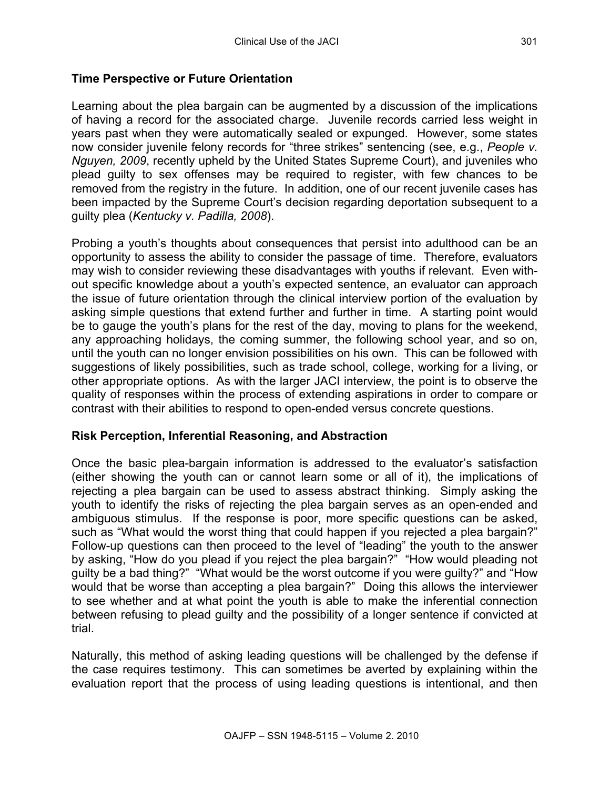## **Time Perspective or Future Orientation**

Learning about the plea bargain can be augmented by a discussion of the implications of having a record for the associated charge. Juvenile records carried less weight in years past when they were automatically sealed or expunged. However, some states now consider juvenile felony records for "three strikes" sentencing (see, e.g., *People v. Nguyen, 2009*, recently upheld by the United States Supreme Court), and juveniles who plead guilty to sex offenses may be required to register, with few chances to be removed from the registry in the future. In addition, one of our recent juvenile cases has been impacted by the Supreme Court's decision regarding deportation subsequent to a guilty plea (*Kentucky v. Padilla, 2008*).

Probing a youth's thoughts about consequences that persist into adulthood can be an opportunity to assess the ability to consider the passage of time. Therefore, evaluators may wish to consider reviewing these disadvantages with youths if relevant. Even without specific knowledge about a youth's expected sentence, an evaluator can approach the issue of future orientation through the clinical interview portion of the evaluation by asking simple questions that extend further and further in time. A starting point would be to gauge the youth's plans for the rest of the day, moving to plans for the weekend, any approaching holidays, the coming summer, the following school year, and so on, until the youth can no longer envision possibilities on his own. This can be followed with suggestions of likely possibilities, such as trade school, college, working for a living, or other appropriate options. As with the larger JACI interview, the point is to observe the quality of responses within the process of extending aspirations in order to compare or contrast with their abilities to respond to open-ended versus concrete questions.

## **Risk Perception, Inferential Reasoning, and Abstraction**

Once the basic plea-bargain information is addressed to the evaluator's satisfaction (either showing the youth can or cannot learn some or all of it), the implications of rejecting a plea bargain can be used to assess abstract thinking. Simply asking the youth to identify the risks of rejecting the plea bargain serves as an open-ended and ambiguous stimulus. If the response is poor, more specific questions can be asked, such as "What would the worst thing that could happen if you rejected a plea bargain?" Follow-up questions can then proceed to the level of "leading" the youth to the answer by asking, "How do you plead if you reject the plea bargain?" "How would pleading not guilty be a bad thing?" "What would be the worst outcome if you were guilty?" and "How would that be worse than accepting a plea bargain?" Doing this allows the interviewer to see whether and at what point the youth is able to make the inferential connection between refusing to plead guilty and the possibility of a longer sentence if convicted at trial.

Naturally, this method of asking leading questions will be challenged by the defense if the case requires testimony. This can sometimes be averted by explaining within the evaluation report that the process of using leading questions is intentional, and then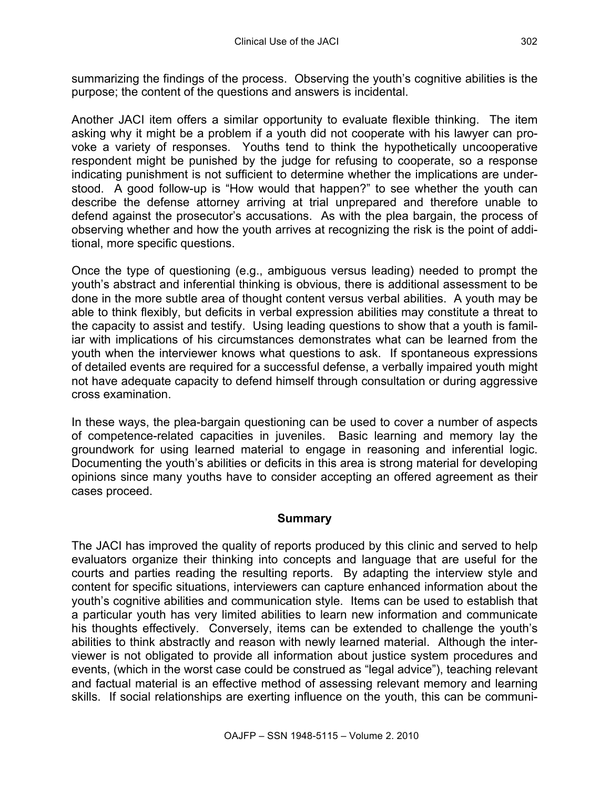summarizing the findings of the process. Observing the youth's cognitive abilities is the purpose; the content of the questions and answers is incidental.

Another JACI item offers a similar opportunity to evaluate flexible thinking. The item asking why it might be a problem if a youth did not cooperate with his lawyer can provoke a variety of responses. Youths tend to think the hypothetically uncooperative respondent might be punished by the judge for refusing to cooperate, so a response indicating punishment is not sufficient to determine whether the implications are understood. A good follow-up is "How would that happen?" to see whether the youth can describe the defense attorney arriving at trial unprepared and therefore unable to defend against the prosecutor's accusations. As with the plea bargain, the process of observing whether and how the youth arrives at recognizing the risk is the point of additional, more specific questions.

Once the type of questioning (e.g., ambiguous versus leading) needed to prompt the youth's abstract and inferential thinking is obvious, there is additional assessment to be done in the more subtle area of thought content versus verbal abilities. A youth may be able to think flexibly, but deficits in verbal expression abilities may constitute a threat to the capacity to assist and testify. Using leading questions to show that a youth is familiar with implications of his circumstances demonstrates what can be learned from the youth when the interviewer knows what questions to ask. If spontaneous expressions of detailed events are required for a successful defense, a verbally impaired youth might not have adequate capacity to defend himself through consultation or during aggressive cross examination.

In these ways, the plea-bargain questioning can be used to cover a number of aspects of competence-related capacities in juveniles. Basic learning and memory lay the groundwork for using learned material to engage in reasoning and inferential logic. Documenting the youth's abilities or deficits in this area is strong material for developing opinions since many youths have to consider accepting an offered agreement as their cases proceed.

## **Summary**

The JACI has improved the quality of reports produced by this clinic and served to help evaluators organize their thinking into concepts and language that are useful for the courts and parties reading the resulting reports. By adapting the interview style and content for specific situations, interviewers can capture enhanced information about the youth's cognitive abilities and communication style. Items can be used to establish that a particular youth has very limited abilities to learn new information and communicate his thoughts effectively. Conversely, items can be extended to challenge the youth's abilities to think abstractly and reason with newly learned material. Although the interviewer is not obligated to provide all information about justice system procedures and events, (which in the worst case could be construed as "legal advice"), teaching relevant and factual material is an effective method of assessing relevant memory and learning skills. If social relationships are exerting influence on the youth, this can be communi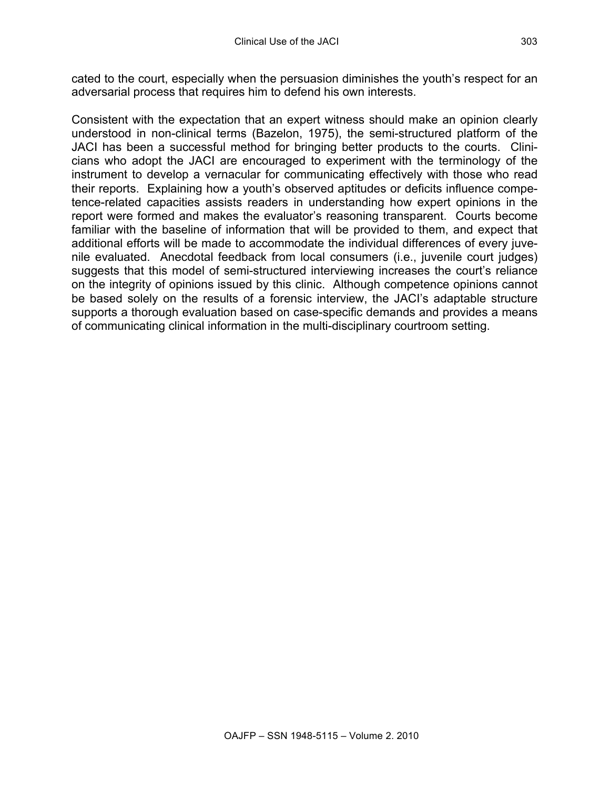cated to the court, especially when the persuasion diminishes the youth's respect for an adversarial process that requires him to defend his own interests.

Consistent with the expectation that an expert witness should make an opinion clearly understood in non-clinical terms (Bazelon, 1975), the semi-structured platform of the JACI has been a successful method for bringing better products to the courts. Clinicians who adopt the JACI are encouraged to experiment with the terminology of the instrument to develop a vernacular for communicating effectively with those who read their reports. Explaining how a youth's observed aptitudes or deficits influence competence-related capacities assists readers in understanding how expert opinions in the report were formed and makes the evaluator's reasoning transparent. Courts become familiar with the baseline of information that will be provided to them, and expect that additional efforts will be made to accommodate the individual differences of every juvenile evaluated. Anecdotal feedback from local consumers (i.e., juvenile court judges) suggests that this model of semi-structured interviewing increases the court's reliance on the integrity of opinions issued by this clinic. Although competence opinions cannot be based solely on the results of a forensic interview, the JACI's adaptable structure supports a thorough evaluation based on case-specific demands and provides a means of communicating clinical information in the multi-disciplinary courtroom setting.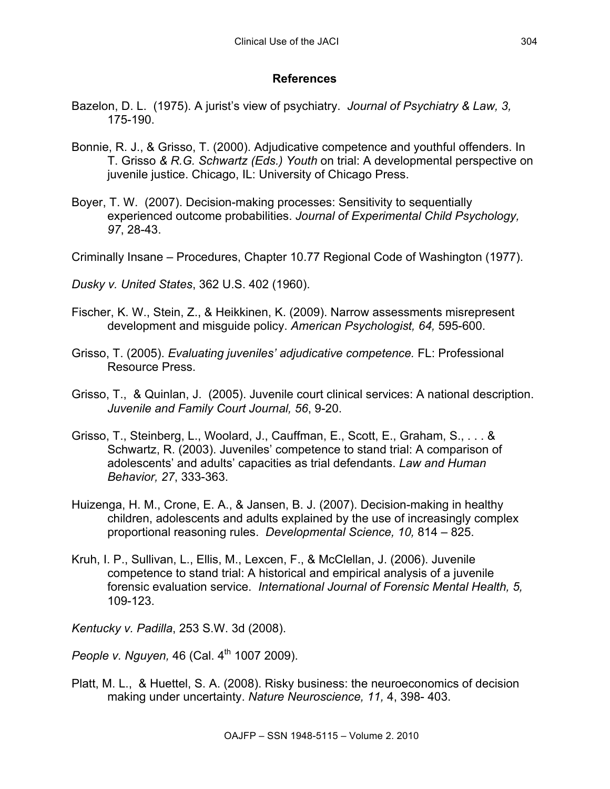# **References**

- Bazelon, D. L. (1975). A jurist's view of psychiatry. *Journal of Psychiatry & Law, 3,*  175-190.
- Bonnie, R. J., & Grisso, T. (2000). Adjudicative competence and youthful offenders. In T. Grisso *& R.G. Schwartz (Eds.) Youth* on trial: A developmental perspective on juvenile justice. Chicago, IL: University of Chicago Press.
- Boyer, T. W. (2007). Decision-making processes: Sensitivity to sequentially experienced outcome probabilities. *Journal of Experimental Child Psychology, 97*, 28-43.
- Criminally Insane Procedures, Chapter 10.77 Regional Code of Washington (1977).
- *Dusky v. United States*, 362 U.S. 402 (1960).
- Fischer, K. W., Stein, Z., & Heikkinen, K. (2009). Narrow assessments misrepresent development and misguide policy. *American Psychologist, 64,* 595-600.
- Grisso, T. (2005). *Evaluating juveniles' adjudicative competence.* FL: Professional Resource Press.
- Grisso, T., & Quinlan, J. (2005). Juvenile court clinical services: A national description. *Juvenile and Family Court Journal, 56*, 9-20.
- Grisso, T., Steinberg, L., Woolard, J., Cauffman, E., Scott, E., Graham, S., . . . & Schwartz, R. (2003). Juveniles' competence to stand trial: A comparison of adolescents' and adults' capacities as trial defendants. *Law and Human Behavior, 27*, 333-363.
- Huizenga, H. M., Crone, E. A., & Jansen, B. J. (2007). Decision-making in healthy children, adolescents and adults explained by the use of increasingly complex proportional reasoning rules. *Developmental Science, 10,* 814 – 825.
- Kruh, I. P., Sullivan, L., Ellis, M., Lexcen, F., & McClellan, J. (2006). Juvenile competence to stand trial: A historical and empirical analysis of a juvenile forensic evaluation service. *International Journal of Forensic Mental Health, 5,* 109-123.

*Kentucky v. Padilla*, 253 S.W. 3d (2008).

*People v. Nguyen,* 46 (Cal. 4<sup>th</sup> 1007 2009).

Platt, M. L., & Huettel, S. A. (2008). Risky business: the neuroeconomics of decision making under uncertainty. *Nature Neuroscience, 11,* 4, 398- 403.